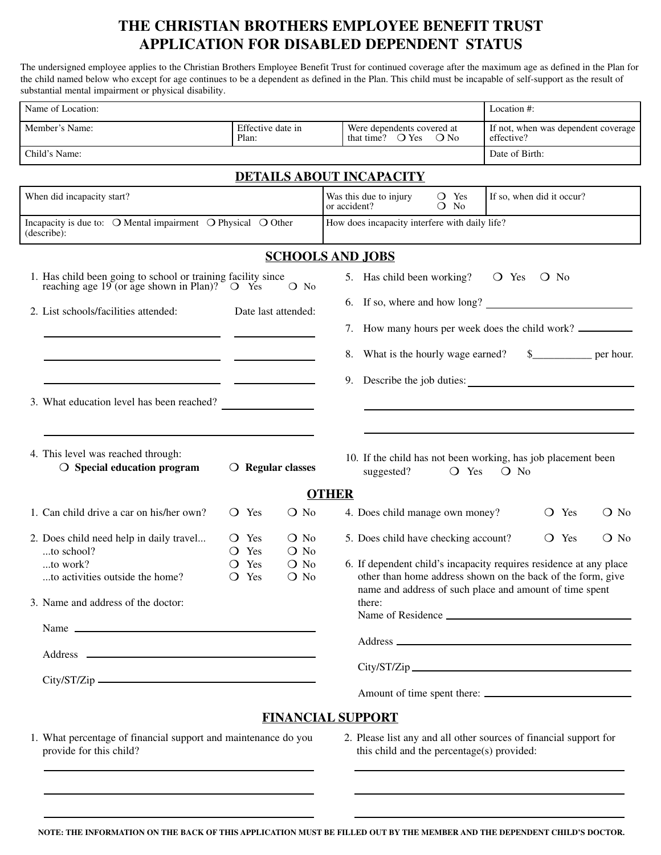## **THE CHRISTIAN BROTHERS EMPLOYEE BENEFIT TRUST APPLICATION FOR DISABLED DEPENDENT STATUS**

The undersigned employee applies to the Christian Brothers Employee Benefit Trust for continued coverage after the maximum age as defined in the Plan for the child named below who except for age continues to be a dependent as defined in the Plan. This child must be incapable of self-support as the result of substantial mental impairment or physical disability.

| Name of Location:                                                                                                               |                            |                                        |                                                                                                                                   |                           | Location #:                                                                                                                                                                                                                   |                   |  |
|---------------------------------------------------------------------------------------------------------------------------------|----------------------------|----------------------------------------|-----------------------------------------------------------------------------------------------------------------------------------|---------------------------|-------------------------------------------------------------------------------------------------------------------------------------------------------------------------------------------------------------------------------|-------------------|--|
| Member's Name:                                                                                                                  | Effective date in<br>Plan: |                                        | Were dependents covered at<br>that time? $\bigcirc$ Yes                                                                           | $\bigcirc$ No             | If not, when was dependent coverage<br>effective?                                                                                                                                                                             |                   |  |
| Child's Name:                                                                                                                   |                            |                                        |                                                                                                                                   |                           | Date of Birth:                                                                                                                                                                                                                |                   |  |
|                                                                                                                                 |                            |                                        | <b>DETAILS ABOUT INCAPACITY</b>                                                                                                   |                           |                                                                                                                                                                                                                               |                   |  |
| When did incapacity start?                                                                                                      |                            | Was this due to injury<br>or accident? | O Yes<br>$O$ No                                                                                                                   | If so, when did it occur? |                                                                                                                                                                                                                               |                   |  |
| Incapacity is due to: O Mental impairment O Physical O Other<br>(describe):                                                     |                            |                                        | How does incapacity interfere with daily life?                                                                                    |                           |                                                                                                                                                                                                                               |                   |  |
|                                                                                                                                 |                            |                                        | <b>SCHOOLS AND JOBS</b>                                                                                                           |                           |                                                                                                                                                                                                                               |                   |  |
| 1. Has child been going to school or training facility since<br>reaching age 19 (or age shown in Plan)? $\circ$ O Yes<br>$O$ No |                            |                                        | 5. Has child been working? $\circ$ Yes $\circ$ No                                                                                 |                           |                                                                                                                                                                                                                               |                   |  |
| 2. List schools/facilities attended:                                                                                            |                            | Date last attended:                    |                                                                                                                                   |                           | 6. If so, where and how long?                                                                                                                                                                                                 |                   |  |
|                                                                                                                                 |                            |                                        | 7. How many hours per week does the child work?                                                                                   |                           |                                                                                                                                                                                                                               |                   |  |
| <u> 1989 - Johann Harry Harry Harry Harry Harry Harry Harry Harry Harry Harry Harry Harry Harry Harry Harry Harry</u>           |                            |                                        |                                                                                                                                   |                           | 8. What is the hourly wage earned? \$______________ per hour.                                                                                                                                                                 |                   |  |
|                                                                                                                                 |                            |                                        |                                                                                                                                   |                           | 9. Describe the job duties:                                                                                                                                                                                                   |                   |  |
| 3. What education level has been reached?                                                                                       |                            |                                        |                                                                                                                                   |                           |                                                                                                                                                                                                                               |                   |  |
| 4. This level was reached through:<br>$\bigcirc$ Special education program                                                      | $\bigcirc$ Regular classes |                                        | suggested?                                                                                                                        | $O$ Yes                   | 10. If the child has not been working, has job placement been<br>$O$ No                                                                                                                                                       |                   |  |
|                                                                                                                                 |                            |                                        | <b>OTHER</b>                                                                                                                      |                           |                                                                                                                                                                                                                               |                   |  |
| 1. Can child drive a car on his/her own?                                                                                        | $\overline{O}$ Yes         | $\overline{O}$ No                      | 4. Does child manage own money?                                                                                                   |                           | $\overline{O}$ Yes                                                                                                                                                                                                            | $\overline{O}$ No |  |
| 2. Does child need help in daily travel<br>to school?                                                                           | $\bigcirc$ Yes<br>O Yes    | O No<br>$\overline{O}$ No              | 5. Does child have checking account?                                                                                              |                           | O Yes                                                                                                                                                                                                                         | $\bigcirc$ No     |  |
| to work?<br>to activities outside the home?                                                                                     | O Yes<br>O Yes             | $\overline{O}$ No<br>$\bigcirc$ No     | 6. If dependent child's incapacity requires residence at any place<br>other than home address shown on the back of the form, give |                           |                                                                                                                                                                                                                               |                   |  |
| 3. Name and address of the doctor:                                                                                              |                            |                                        | name and address of such place and amount of time spent<br>there:                                                                 |                           |                                                                                                                                                                                                                               |                   |  |
| Name                                                                                                                            |                            |                                        |                                                                                                                                   |                           |                                                                                                                                                                                                                               |                   |  |
|                                                                                                                                 |                            |                                        |                                                                                                                                   |                           |                                                                                                                                                                                                                               |                   |  |
|                                                                                                                                 |                            |                                        |                                                                                                                                   |                           |                                                                                                                                                                                                                               |                   |  |
|                                                                                                                                 |                            |                                        |                                                                                                                                   |                           |                                                                                                                                                                                                                               |                   |  |
|                                                                                                                                 |                            |                                        | <b>FINANCIAL SUPPORT</b>                                                                                                          |                           |                                                                                                                                                                                                                               |                   |  |
| 1. What percentage of financial support and maintenance do you<br>provide for this child?                                       |                            |                                        | 2. Please list any and all other sources of financial support for<br>this child and the percentage(s) provided:                   |                           |                                                                                                                                                                                                                               |                   |  |
| <u> 1989 - Johann Stoff, deutscher Stoff, der Stoff, der Stoff, der Stoff, der Stoff, der Stoff, der Stoff, der S</u>           |                            |                                        |                                                                                                                                   |                           | the control of the control of the control of the control of the control of the control of the control of the control of the control of the control of the control of the control of the control of the control of the control |                   |  |